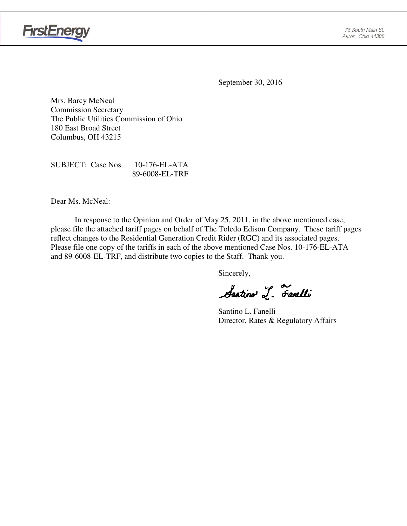

September 30, 2016

Mrs. Barcy McNeal Commission Secretary The Public Utilities Commission of Ohio 180 East Broad Street Columbus, OH 43215

SUBJECT: Case Nos. 10-176-EL-ATA 89-6008-EL-TRF

Dear Ms. McNeal:

In response to the Opinion and Order of May 25, 2011, in the above mentioned case, please file the attached tariff pages on behalf of The Toledo Edison Company. These tariff pages reflect changes to the Residential Generation Credit Rider (RGC) and its associated pages. Please file one copy of the tariffs in each of the above mentioned Case Nos. 10-176-EL-ATA and 89-6008-EL-TRF, and distribute two copies to the Staff. Thank you.

Sincerely,

Santino L. Fanelli

Santino L. Fanelli Director, Rates & Regulatory Affairs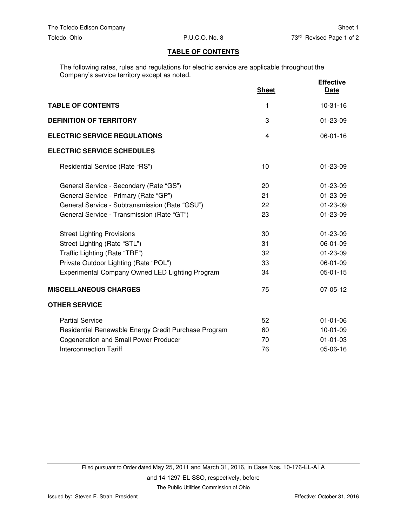#### **TABLE OF CONTENTS**

The following rates, rules and regulations for electric service are applicable throughout the Company's service territory except as noted.

|                                                      | <b>Sheet</b> | <b>Effective</b><br><b>Date</b> |
|------------------------------------------------------|--------------|---------------------------------|
| <b>TABLE OF CONTENTS</b>                             | 1            | $10-31-16$                      |
| <b>DEFINITION OF TERRITORY</b>                       | 3            | $01 - 23 - 09$                  |
| <b>ELECTRIC SERVICE REGULATIONS</b>                  | 4            | $06 - 01 - 16$                  |
| <b>ELECTRIC SERVICE SCHEDULES</b>                    |              |                                 |
| Residential Service (Rate "RS")                      | 10           | $01 - 23 - 09$                  |
| General Service - Secondary (Rate "GS")              | 20           | $01 - 23 - 09$                  |
| General Service - Primary (Rate "GP")                | 21           | $01 - 23 - 09$                  |
| General Service - Subtransmission (Rate "GSU")       | 22           | 01-23-09                        |
| General Service - Transmission (Rate "GT")           | 23           | 01-23-09                        |
| <b>Street Lighting Provisions</b>                    | 30           | $01 - 23 - 09$                  |
| Street Lighting (Rate "STL")                         | 31           | 06-01-09                        |
| Traffic Lighting (Rate "TRF")                        | 32           | $01 - 23 - 09$                  |
| Private Outdoor Lighting (Rate "POL")                | 33           | 06-01-09                        |
| Experimental Company Owned LED Lighting Program      | 34           | $05-01-15$                      |
| <b>MISCELLANEOUS CHARGES</b>                         | 75           | 07-05-12                        |
| <b>OTHER SERVICE</b>                                 |              |                                 |
| <b>Partial Service</b>                               | 52           | $01 - 01 - 06$                  |
| Residential Renewable Energy Credit Purchase Program | 60           | $10-01-09$                      |
| <b>Cogeneration and Small Power Producer</b>         | 70           | $01 - 01 - 03$                  |
| <b>Interconnection Tariff</b>                        | 76           | 05-06-16                        |

The Public Utilities Commission of Ohio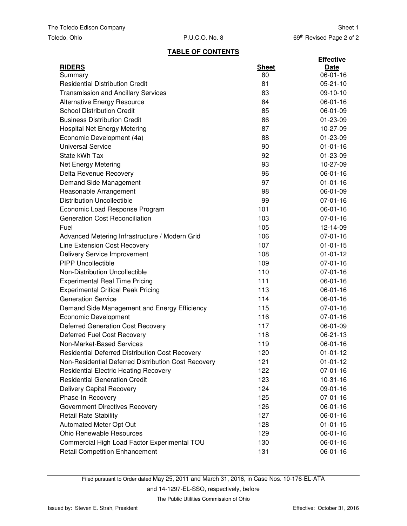# **TABLE OF CONTENTS**

|                                                     |              | <b>Effective</b> |
|-----------------------------------------------------|--------------|------------------|
| <b>RIDERS</b>                                       | <b>Sheet</b> | Date             |
| Summary                                             | 80           | $06 - 01 - 16$   |
| <b>Residential Distribution Credit</b>              | 81           | $05 - 21 - 10$   |
| <b>Transmission and Ancillary Services</b>          | 83           | 09-10-10         |
| <b>Alternative Energy Resource</b>                  | 84           | 06-01-16         |
| <b>School Distribution Credit</b>                   | 85           | 06-01-09         |
| <b>Business Distribution Credit</b>                 | 86           | 01-23-09         |
| <b>Hospital Net Energy Metering</b>                 | 87           | 10-27-09         |
| Economic Development (4a)                           | 88           | 01-23-09         |
| <b>Universal Service</b>                            | 90           | $01 - 01 - 16$   |
| State kWh Tax                                       | 92           | 01-23-09         |
| Net Energy Metering                                 | 93           | 10-27-09         |
| Delta Revenue Recovery                              | 96           | 06-01-16         |
| Demand Side Management                              | 97           | $01 - 01 - 16$   |
| Reasonable Arrangement                              | 98           | 06-01-09         |
| <b>Distribution Uncollectible</b>                   | 99           | $07 - 01 - 16$   |
| Economic Load Response Program                      | 101          | 06-01-16         |
| <b>Generation Cost Reconciliation</b>               | 103          | $07 - 01 - 16$   |
| Fuel                                                | 105          | 12-14-09         |
| Advanced Metering Infrastructure / Modern Grid      | 106          | $07 - 01 - 16$   |
| Line Extension Cost Recovery                        | 107          | $01 - 01 - 15$   |
| Delivery Service Improvement                        | 108          | $01 - 01 - 12$   |
| <b>PIPP Uncollectible</b>                           | 109          | $07 - 01 - 16$   |
| Non-Distribution Uncollectible                      | 110          | $07 - 01 - 16$   |
| <b>Experimental Real Time Pricing</b>               | 111          | 06-01-16         |
| <b>Experimental Critical Peak Pricing</b>           | 113          | 06-01-16         |
| <b>Generation Service</b>                           | 114          | 06-01-16         |
| Demand Side Management and Energy Efficiency        | 115          | $07 - 01 - 16$   |
| Economic Development                                | 116          | $07 - 01 - 16$   |
| Deferred Generation Cost Recovery                   | 117          | 06-01-09         |
| Deferred Fuel Cost Recovery                         | 118          | 06-21-13         |
| Non-Market-Based Services                           | 119          | 06-01-16         |
| Residential Deferred Distribution Cost Recovery     | 120          | $01 - 01 - 12$   |
| Non-Residential Deferred Distribution Cost Recovery | 121          | $01 - 01 - 12$   |
| <b>Residential Electric Heating Recovery</b>        | 122          | 07-01-16         |
| <b>Residential Generation Credit</b>                | 123          | $10-31-16$       |
| <b>Delivery Capital Recovery</b>                    | 124          | 09-01-16         |
| Phase-In Recovery                                   | 125          | 07-01-16         |
| Government Directives Recovery                      | 126          | 06-01-16         |
| <b>Retail Rate Stability</b>                        | 127          | 06-01-16         |
| Automated Meter Opt Out                             | 128          | $01 - 01 - 15$   |
| Ohio Renewable Resources                            | 129          | 06-01-16         |
| Commercial High Load Factor Experimental TOU        | 130          | 06-01-16         |
| <b>Retail Competition Enhancement</b>               | 131          | 06-01-16         |

Filed pursuant to Order dated May 25, 2011 and March 31, 2016, in Case Nos. 10-176-EL-ATA and 14-1297-EL-SSO, respectively, before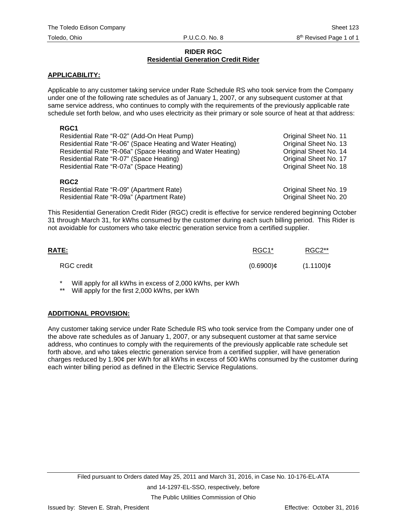#### **RIDER RGC Residential Generation Credit Rider**

## **APPLICABILITY:**

Applicable to any customer taking service under Rate Schedule RS who took service from the Company under one of the following rate schedules as of January 1, 2007, or any subsequent customer at that same service address, who continues to comply with the requirements of the previously applicable rate schedule set forth below, and who uses electricity as their primary or sole source of heat at that address:

## **RGC1**

| Residential Rate "R-02" (Add-On Heat Pump)                 | Original Sheet No. 11 |
|------------------------------------------------------------|-----------------------|
| Residential Rate "R-06" (Space Heating and Water Heating)  | Original Sheet No. 13 |
| Residential Rate "R-06a" (Space Heating and Water Heating) | Original Sheet No. 14 |
| Residential Rate "R-07" (Space Heating)                    | Original Sheet No. 17 |
| Residential Rate "R-07a" (Space Heating)                   | Original Sheet No. 18 |
| <b>RGC2</b>                                                |                       |

# Residential Rate "R-09" (Apartment Rate) Original Sheet No. 19 Residential Rate "R-09a" (Apartment Rate)

This Residential Generation Credit Rider (RGC) credit is effective for service rendered beginning October 31 through March 31, for kWhs consumed by the customer during each such billing period. This Rider is not avoidable for customers who take electric generation service from a certified supplier.

| <u>RATE:</u> | RGC1*        | RGC2**       |
|--------------|--------------|--------------|
| RGC credit   | $(0.6900)$ ¢ | $(1.1100)$ ¢ |

Will apply for all kWhs in excess of 2,000 kWhs, per kWh

Will apply for the first 2,000 kWhs, per kWh

#### **ADDITIONAL PROVISION:**

Any customer taking service under Rate Schedule RS who took service from the Company under one of the above rate schedules as of January 1, 2007, or any subsequent customer at that same service address, who continues to comply with the requirements of the previously applicable rate schedule set forth above, and who takes electric generation service from a certified supplier, will have generation charges reduced by 1.90¢ per kWh for all kWhs in excess of 500 kWhs consumed by the customer during each winter billing period as defined in the Electric Service Regulations.